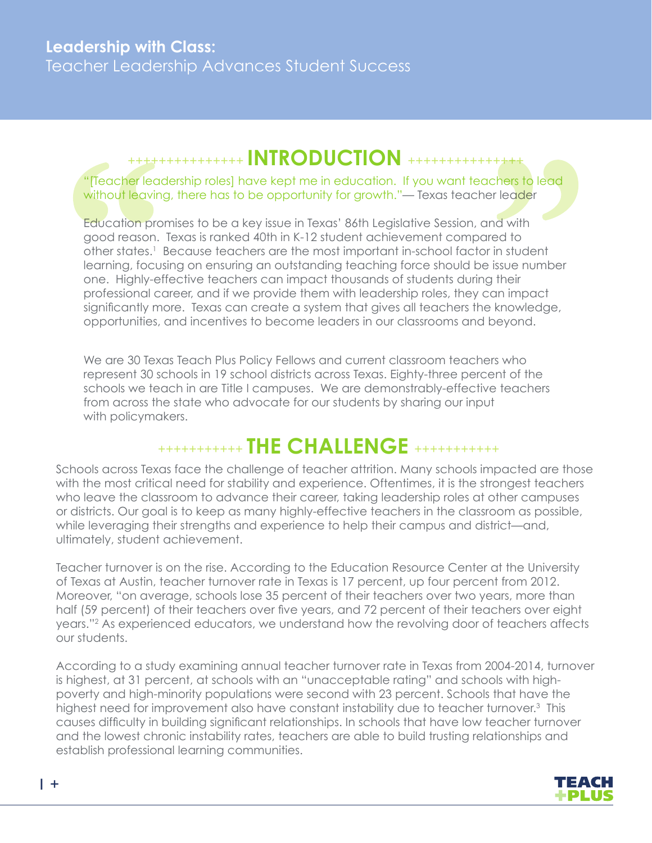### +++++++++++++++ **INTRODUCTION** +++++++++++++++

#### "[Teacher leadership roles] have kept me in education. If you want teachers to lead without leaving, there has to be opportunity for growth."— Texas teacher leader

Education promises to be a key issue in Texas' 86th Legislative Session, and with good reason. Texas is ranked 40th in K-12 student achievement compared to other states.<sup>1</sup> Because teachers are the most important in-school factor in student learning, focusing on ensuring an outstanding teaching force should be issue number one. Highly-effective teachers can impact thousands of students during their professional career, and if we provide them with leadership roles, they can impact significantly more. Texas can create a system that gives all teachers the knowledge, opportunities, and incentives to become leaders in our classrooms and beyond.

We are 30 Texas Teach Plus Policy Fellows and current classroom teachers who represent 30 schools in 19 school districts across Texas. Eighty-three percent of the schools we teach in are Title I campuses. We are demonstrably-effective teachers from across the state who advocate for our students by sharing our input with policymakers.

# +++++++++++ **THE CHALLENGE** +++++++++++

Schools across Texas face the challenge of teacher attrition. Many schools impacted are those with the most critical need for stability and experience. Oftentimes, it is the strongest teachers who leave the classroom to advance their career, taking leadership roles at other campuses or districts. Our goal is to keep as many highly-effective teachers in the classroom as possible, while leveraging their strengths and experience to help their campus and district—and, ultimately, student achievement.

Teacher turnover is on the rise. According to the Education Resource Center at the University of Texas at Austin, teacher turnover rate in Texas is 17 percent, up four percent from 2012. Moreover, "on average, schools lose 35 percent of their teachers over two years, more than half (59 percent) of their teachers over five years, and 72 percent of their teachers over eight years."2 As experienced educators, we understand how the revolving door of teachers affects our students.

According to a study examining annual teacher turnover rate in Texas from 2004-2014, turnover is highest, at 31 percent, at schools with an "unacceptable rating" and schools with highpoverty and high-minority populations were second with 23 percent. Schools that have the highest need for improvement also have constant instability due to teacher turnover.3 This causes difficulty in building significant relationships. In schools that have low teacher turnover and the lowest chronic instability rates, teachers are able to build trusting relationships and establish professional learning communities.

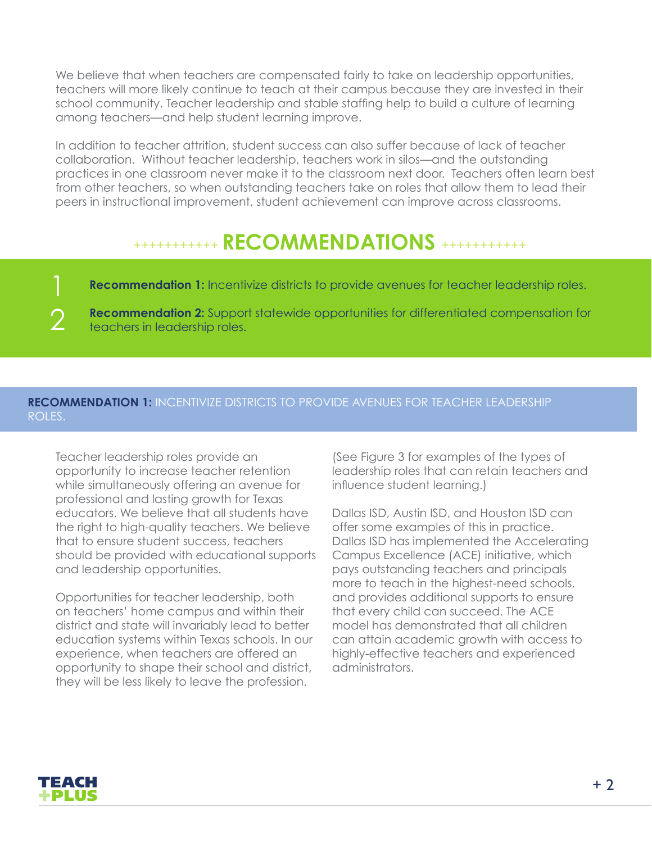We believe that when teachers are compensated fairly to take on leadership opportunities, teachers will more likely continue to teach at their campus because they are invested in their school community. Teacher leadership and stable staffing help to build a culture of learning among teachers—and help student learning improve.

In addition to teacher attrition, student success can also suffer because of lack of teacher collaboration. Without teacher leadership, teachers work in silos—and the outstanding practices in one classroom never make it to the classroom next door. Teachers often learn best from other teachers, so when outstanding teachers take on roles that allow them to lead their peers in instructional improvement, student achievement can improve across classrooms.

## +++++++++++ **RECOMMENDATIONS** +++++++++++

**Recommendation 1:** Incentivize districts to provide avenues for teacher leadership roles.

**Recommendation 2:** Support statewide opportunities for differentiated compensation for teachers in leadership roles.

#### **RECOMMENDATION 1:** INCENTIVIZE DISTRICTS TO PROVIDE AVENUES FOR TEACHER LEADERSHIP ROLES.

Teacher leadership roles provide an opportunity to increase teacher retention while simultaneously offering an avenue for professional and lasting growth for Texas educators. We believe that all students have the right to high-quality teachers. We believe that to ensure student success, teachers should be provided with educational supports and leadership opportunities.

Opportunities for teacher leadership, both on teachers' home campus and within their district and state will invariably lead to better education systems within Texas schools. In our experience, when teachers are offered an opportunity to shape their school and district, they will be less likely to leave the profession.

(See Figure 3 for examples of the types of leadership roles that can retain teachers and influence student learning.)

Dallas ISD, Austin ISD, and Houston ISD can offer some examples of this in practice. Dallas ISD has implemented the Accelerating Campus Excellence (ACE) initiative, which pays outstanding teachers and principals more to teach in the highest-need schools, and provides additional supports to ensure that every child can succeed. The ACE model has demonstrated that all children can attain academic growth with access to highly-effective teachers and experienced administrators.



2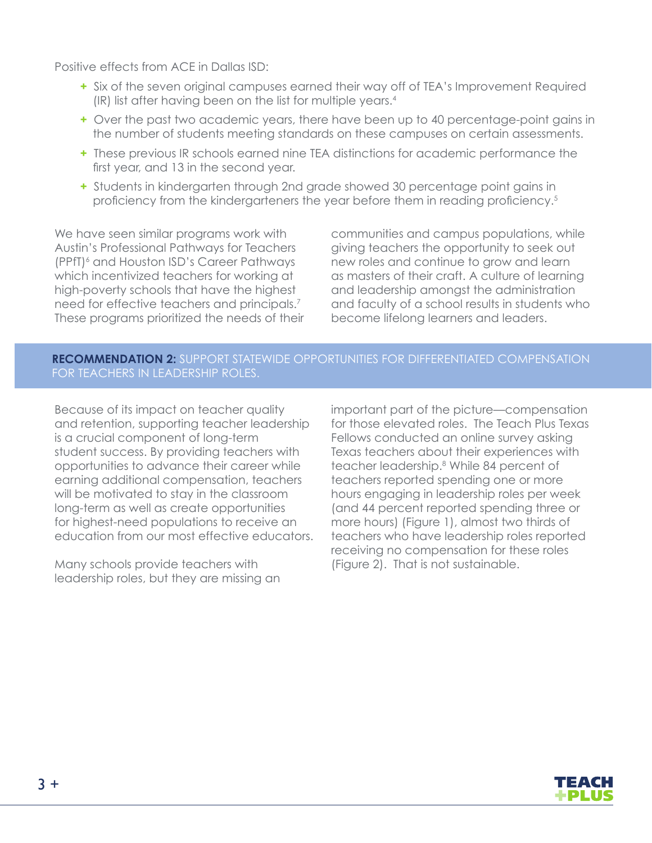Positive effects from ACE in Dallas ISD:

- **+** Six of the seven original campuses earned their way off of TEA's Improvement Required (IR) list after having been on the list for multiple years.4
- **+** Over the past two academic years, there have been up to 40 percentage-point gains in the number of students meeting standards on these campuses on certain assessments.
- **+** These previous IR schools earned nine TEA distinctions for academic performance the first year, and 13 in the second year.
- **+** Students in kindergarten through 2nd grade showed 30 percentage point gains in proficiency from the kindergarteners the year before them in reading proficiency.<sup>5</sup>

We have seen similar programs work with Austin's Professional Pathways for Teachers (PPfT)<sup>6</sup> and Houston ISD's Career Pathways which incentivized teachers for working at high-poverty schools that have the highest need for effective teachers and principals.<sup>7</sup> These programs prioritized the needs of their

communities and campus populations, while giving teachers the opportunity to seek out new roles and continue to grow and learn as masters of their craft. A culture of learning and leadership amongst the administration and faculty of a school results in students who become lifelong learners and leaders.

#### **RECOMMENDATION 2:** SUPPORT STATEWIDE OPPORTUNITIES FOR DIFFERENTIATED COMPENSATION FOR TEACHERS IN LEADERSHIP ROLES.

Because of its impact on teacher quality and retention, supporting teacher leadership is a crucial component of long-term student success. By providing teachers with opportunities to advance their career while earning additional compensation, teachers will be motivated to stay in the classroom long-term as well as create opportunities for highest-need populations to receive an education from our most effective educators.

Many schools provide teachers with leadership roles, but they are missing an important part of the picture—compensation for those elevated roles. The Teach Plus Texas Fellows conducted an online survey asking Texas teachers about their experiences with teacher leadership.8 While 84 percent of teachers reported spending one or more hours engaging in leadership roles per week (and 44 percent reported spending three or more hours) (Figure 1), almost two thirds of teachers who have leadership roles reported receiving no compensation for these roles (Figure 2). That is not sustainable.

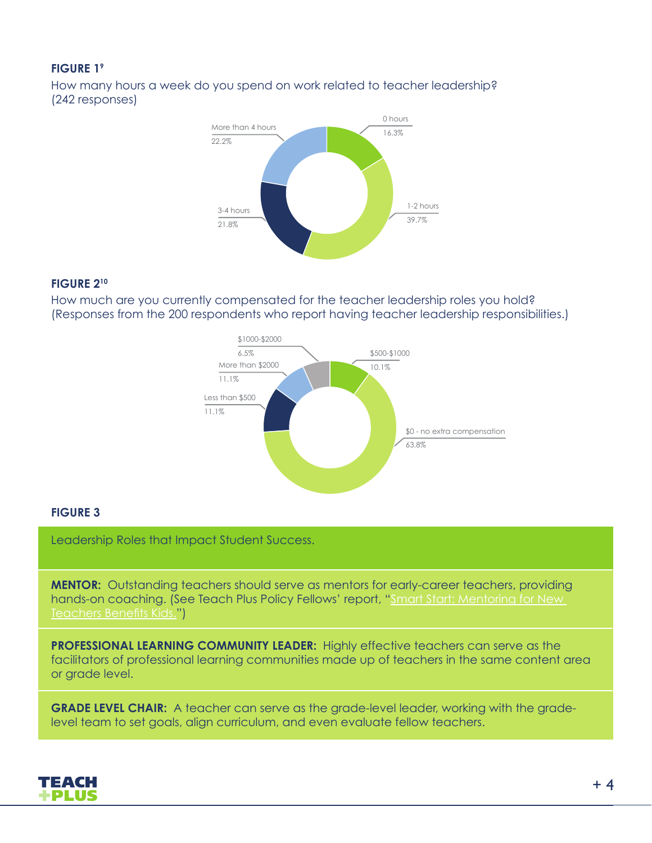#### **FIGURE 19**

How many hours a week do you spend on work related to teacher leadership? (242 responses)



#### **FIGURE 210**

How much are you currently compensated for the teacher leadership roles you hold? (Responses from the 200 respondents who report having teacher leadership responsibilities.)



#### **FIGURE 3**

Leadership Roles that Impact Student Success.

**MENTOR:** Outstanding teachers should serve as mentors for early-career teachers, providing hands-on coaching. (See Teach Plus Policy Fellows' report, "Smart Start: Mentoring for New Teachers Benefits Kids.")

**PROFESSIONAL LEARNING COMMUNITY LEADER:** Highly effective teachers can serve as the facilitators of professional learning communities made up of teachers in the same content area or grade level.

**GRADE LEVEL CHAIR:** A teacher can serve as the grade-level leader, working with the gradelevel team to set goals, align curriculum, and even evaluate fellow teachers.

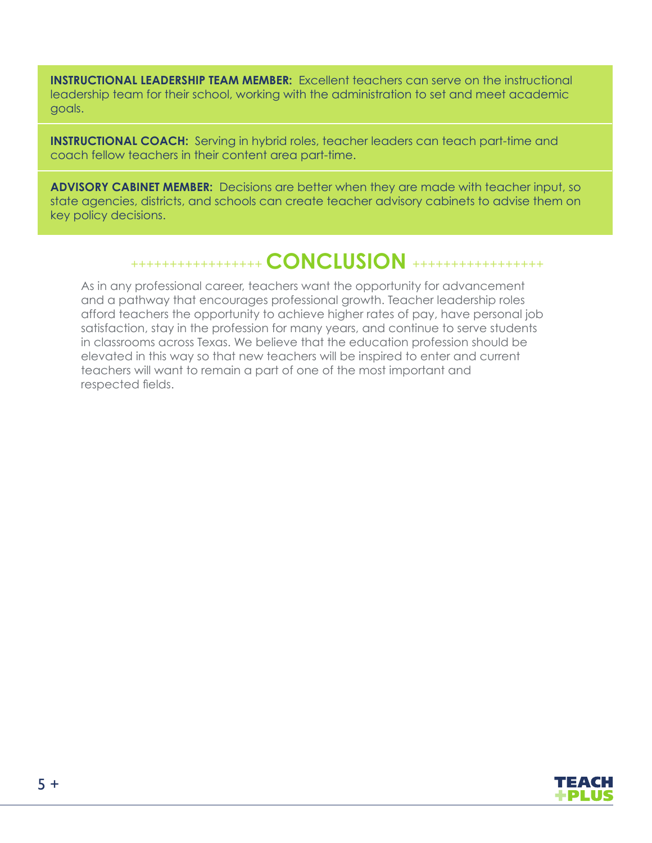**INSTRUCTIONAL LEADERSHIP TEAM MEMBER:** Excellent teachers can serve on the instructional leadership team for their school, working with the administration to set and meet academic goals.

**INSTRUCTIONAL COACH:** Serving in hybrid roles, teacher leaders can teach part-time and coach fellow teachers in their content area part-time.

**ADVISORY CABINET MEMBER:** Decisions are better when they are made with teacher input, so state agencies, districts, and schools can create teacher advisory cabinets to advise them on key policy decisions.

### +++++++++++++++++ **CONCLUSION** +++++++++++++++++

As in any professional career, teachers want the opportunity for advancement and a pathway that encourages professional growth. Teacher leadership roles afford teachers the opportunity to achieve higher rates of pay, have personal job satisfaction, stay in the profession for many years, and continue to serve students in classrooms across Texas. We believe that the education profession should be elevated in this way so that new teachers will be inspired to enter and current teachers will want to remain a part of one of the most important and respected fields.

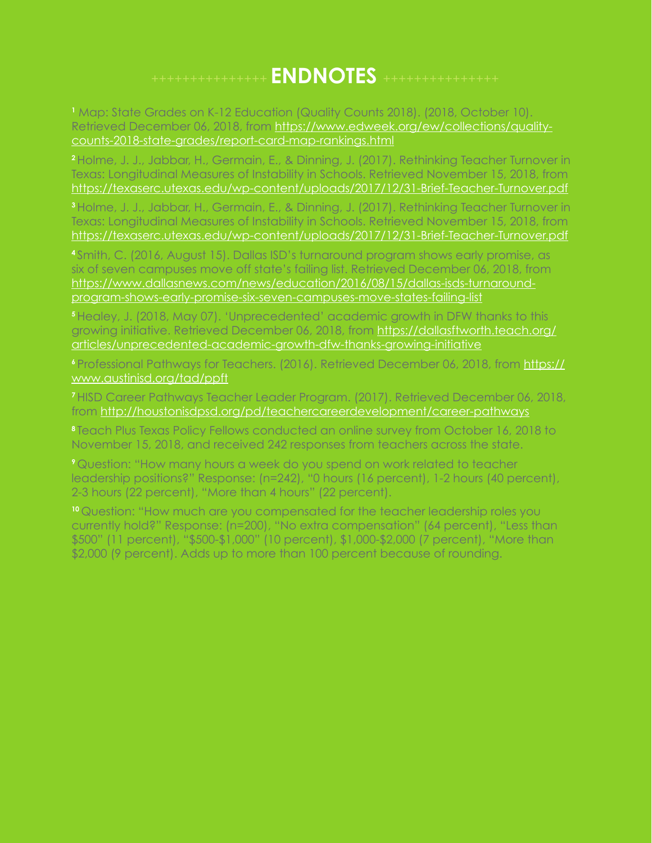## +++++++++++++++ **ENDNOTES** +++++++++++++++

**1** Map: State Grades on K-12 Education (Quality Counts 2018). (2018, October 10). Retrieved December 06, 2018, from https://www.edweek.org/ew/collections/qualitycounts-2018-state-grades/report-card-map-rankings.html

**<sup>2</sup>**Holme, J. J., Jabbar, H., Germain, E., & Dinning, J. (2017). Rethinking Teacher Turnover in Texas: Longitudinal Measures of Instability in Schools. Retrieved November 15, 2018, from https://texaserc.utexas.edu/wp-content/uploads/2017/12/31-Brief-Teacher-Turnover.pdf

**<sup>3</sup>**Holme, J. J., Jabbar, H., Germain, E., & Dinning, J. (2017). Rethinking Teacher Turnover in Texas: Longitudinal Measures of Instability in Schools. Retrieved November 15, 2018, from https://texaserc.utexas.edu/wp-content/uploads/2017/12/31-Brief-Teacher-Turnover.pdf

**<sup>4</sup>**Smith, C. (2016, August 15). Dallas ISD's turnaround program shows early promise, as six of seven campuses move off state's failing list. Retrieved December 06, 2018, from https://www.dallasnews.com/news/education/2016/08/15/dallas-isds-turnaroundprogram-shows-early-promise-six-seven-campuses-move-states-failing-list

**<sup>5</sup>**Healey, J. (2018, May 07). 'Unprecedented' academic growth in DFW thanks to this growing initiative. Retrieved December 06, 2018, from https://dallasftworth.teach.org/ articles/unprecedented-academic-growth-dfw-thanks-growing-initiative

**<sup>6</sup>**Professional Pathways for Teachers. (2016). Retrieved December 06, 2018, from https:// www.austinisd.org/tad/ppft

**<sup>7</sup>**HISD Career Pathways Teacher Leader Program. (2017). Retrieved December 06, 2018, from http://houstonisdpsd.org/pd/teachercareerdevelopment/career-pathways

**<sup>8</sup>**Teach Plus Texas Policy Fellows conducted an online survey from October 16, 2018 to November 15, 2018, and received 242 responses from teachers across the state.

**<sup>9</sup>**Question: "How many hours a week do you spend on work related to teacher leadership positions?" Response: (n=242), "0 hours (16 percent), 1-2 hours (40 percent), 2-3 hours (22 percent), "More than 4 hours" (22 percent).

**<sup>10</sup>**Question: "How much are you compensated for the teacher leadership roles you currently hold?" Response: (n=200), "No extra compensation" (64 percent), "Less than \$500" (11 percent), "\$500-\$1,000" (10 percent), \$1,000-\$2,000 (7 percent), "More than \$2,000 (9 percent). Adds up to more than 100 percent because of rounding.